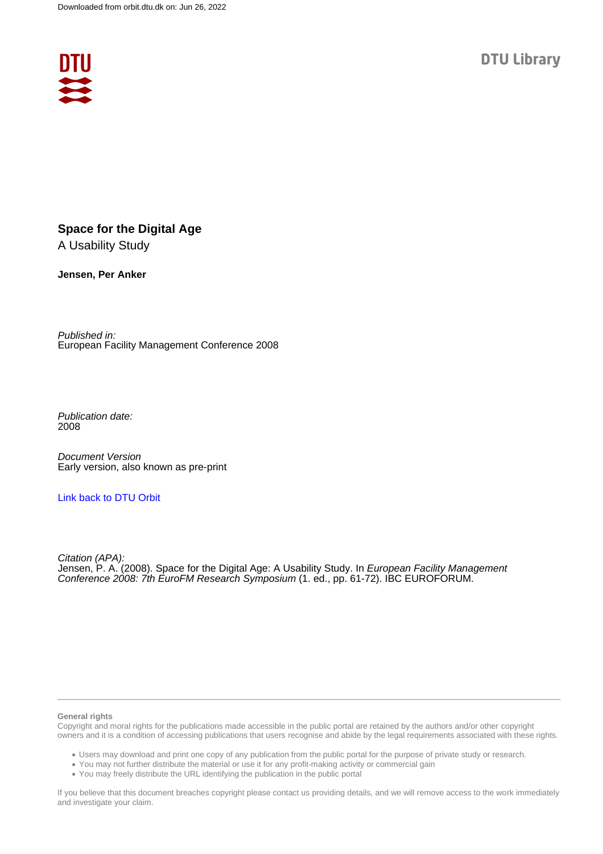

# **Space for the Digital Age**

A Usability Study

**Jensen, Per Anker**

Published in: European Facility Management Conference 2008

Publication date: 2008

Document Version Early version, also known as pre-print

#### [Link back to DTU Orbit](https://orbit.dtu.dk/en/publications/df1da1fa-6a09-4575-b4b9-43d0294761fe)

Citation (APA): Jensen, P. A. (2008). Space for the Digital Age: A Usability Study. In *European Facility Management* Conference 2008: 7th EuroFM Research Symposium (1. ed., pp. 61-72). IBC EUROFORUM.

#### **General rights**

Copyright and moral rights for the publications made accessible in the public portal are retained by the authors and/or other copyright owners and it is a condition of accessing publications that users recognise and abide by the legal requirements associated with these rights.

Users may download and print one copy of any publication from the public portal for the purpose of private study or research.

- You may not further distribute the material or use it for any profit-making activity or commercial gain
- You may freely distribute the URL identifying the publication in the public portal

If you believe that this document breaches copyright please contact us providing details, and we will remove access to the work immediately and investigate your claim.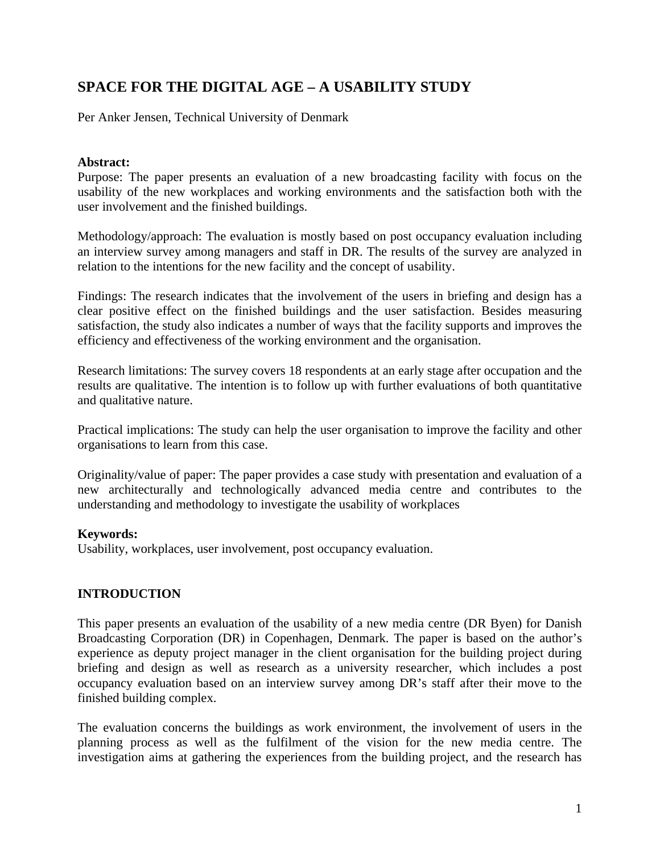# **SPACE FOR THE DIGITAL AGE – A USABILITY STUDY**

Per Anker Jensen, Technical University of Denmark

#### **Abstract:**

Purpose: The paper presents an evaluation of a new broadcasting facility with focus on the usability of the new workplaces and working environments and the satisfaction both with the user involvement and the finished buildings.

Methodology/approach: The evaluation is mostly based on post occupancy evaluation including an interview survey among managers and staff in DR. The results of the survey are analyzed in relation to the intentions for the new facility and the concept of usability.

Findings: The research indicates that the involvement of the users in briefing and design has a clear positive effect on the finished buildings and the user satisfaction. Besides measuring satisfaction, the study also indicates a number of ways that the facility supports and improves the efficiency and effectiveness of the working environment and the organisation.

Research limitations: The survey covers 18 respondents at an early stage after occupation and the results are qualitative. The intention is to follow up with further evaluations of both quantitative and qualitative nature.

Practical implications: The study can help the user organisation to improve the facility and other organisations to learn from this case.

Originality/value of paper: The paper provides a case study with presentation and evaluation of a new architecturally and technologically advanced media centre and contributes to the understanding and methodology to investigate the usability of workplaces

# **Keywords:**

Usability, workplaces, user involvement, post occupancy evaluation.

# **INTRODUCTION**

This paper presents an evaluation of the usability of a new media centre (DR Byen) for Danish Broadcasting Corporation (DR) in Copenhagen, Denmark. The paper is based on the author's experience as deputy project manager in the client organisation for the building project during briefing and design as well as research as a university researcher, which includes a post occupancy evaluation based on an interview survey among DR's staff after their move to the finished building complex.

The evaluation concerns the buildings as work environment, the involvement of users in the planning process as well as the fulfilment of the vision for the new media centre. The investigation aims at gathering the experiences from the building project, and the research has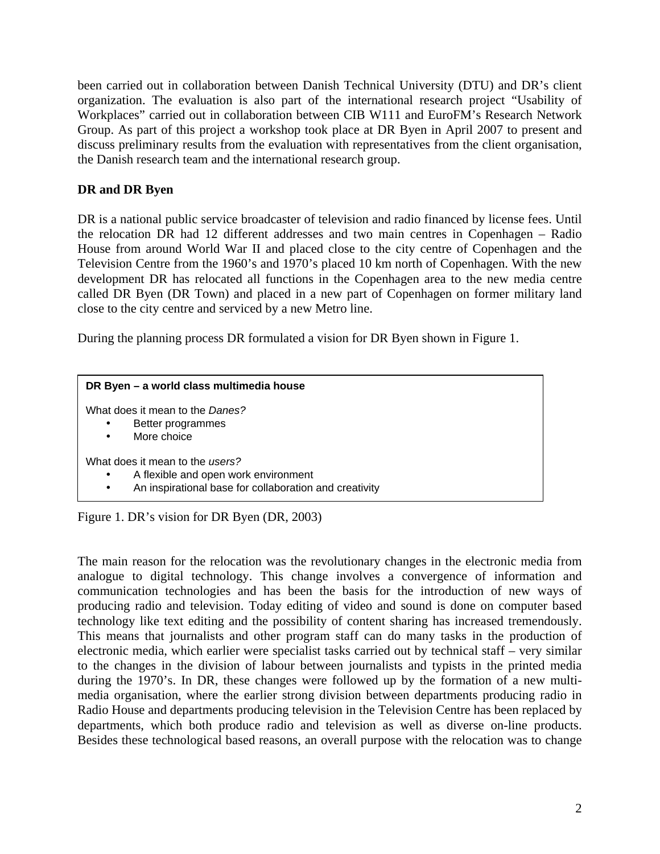been carried out in collaboration between Danish Technical University (DTU) and DR's client organization. The evaluation is also part of the international research project "Usability of Workplaces" carried out in collaboration between CIB W111 and EuroFM's Research Network Group. As part of this project a workshop took place at DR Byen in April 2007 to present and discuss preliminary results from the evaluation with representatives from the client organisation, the Danish research team and the international research group.

# **DR and DR Byen**

DR is a national public service broadcaster of television and radio financed by license fees. Until the relocation DR had 12 different addresses and two main centres in Copenhagen – Radio House from around World War II and placed close to the city centre of Copenhagen and the Television Centre from the 1960's and 1970's placed 10 km north of Copenhagen. With the new development DR has relocated all functions in the Copenhagen area to the new media centre called DR Byen (DR Town) and placed in a new part of Copenhagen on former military land close to the city centre and serviced by a new Metro line.

During the planning process DR formulated a vision for DR Byen shown in Figure 1.

| DR Byen - a world class multimedia house                                                                                                                    |  |
|-------------------------------------------------------------------------------------------------------------------------------------------------------------|--|
| What does it mean to the Danes?<br>Better programmes<br>$\bullet$<br>More choice<br>$\bullet$                                                               |  |
| What does it mean to the users?<br>A flexible and open work environment<br>$\bullet$<br>An inspirational base for collaboration and creativity<br>$\bullet$ |  |

Figure 1. DR's vision for DR Byen (DR, 2003)

The main reason for the relocation was the revolutionary changes in the electronic media from analogue to digital technology. This change involves a convergence of information and communication technologies and has been the basis for the introduction of new ways of producing radio and television. Today editing of video and sound is done on computer based technology like text editing and the possibility of content sharing has increased tremendously. This means that journalists and other program staff can do many tasks in the production of electronic media, which earlier were specialist tasks carried out by technical staff – very similar to the changes in the division of labour between journalists and typists in the printed media during the 1970's. In DR, these changes were followed up by the formation of a new multimedia organisation, where the earlier strong division between departments producing radio in Radio House and departments producing television in the Television Centre has been replaced by departments, which both produce radio and television as well as diverse on-line products. Besides these technological based reasons, an overall purpose with the relocation was to change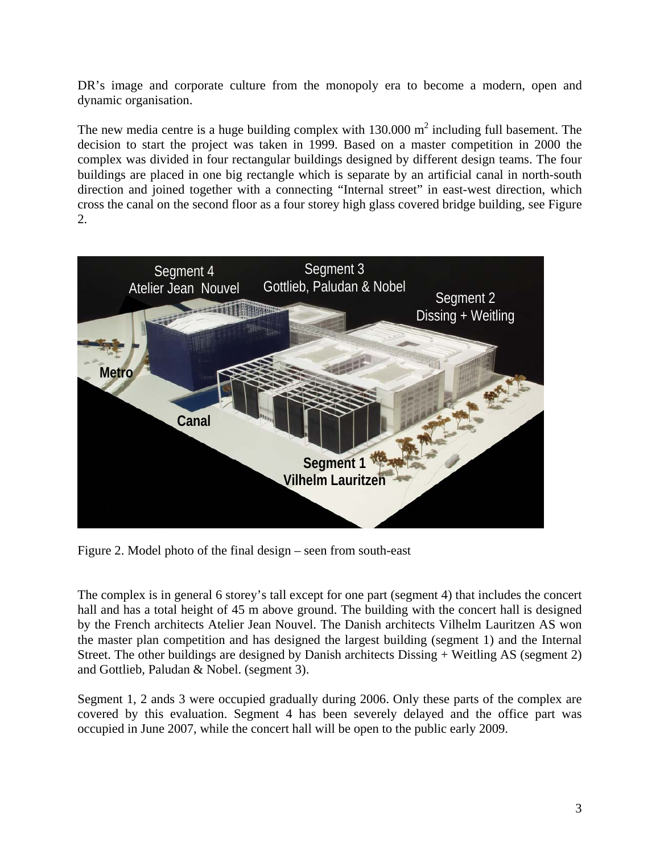DR's image and corporate culture from the monopoly era to become a modern, open and dynamic organisation.

The new media centre is a huge building complex with  $130.000 \text{ m}^2$  including full basement. The decision to start the project was taken in 1999. Based on a master competition in 2000 the complex was divided in four rectangular buildings designed by different design teams. The four buildings are placed in one big rectangle which is separate by an artificial canal in north-south direction and joined together with a connecting "Internal street" in east-west direction, which cross the canal on the second floor as a four storey high glass covered bridge building, see Figure 2.



Figure 2. Model photo of the final design – seen from south-east

The complex is in general 6 storey's tall except for one part (segment 4) that includes the concert hall and has a total height of 45 m above ground. The building with the concert hall is designed by the French architects Atelier Jean Nouvel. The Danish architects Vilhelm Lauritzen AS won the master plan competition and has designed the largest building (segment 1) and the Internal Street. The other buildings are designed by Danish architects Dissing + Weitling AS (segment 2) and Gottlieb, Paludan & Nobel. (segment 3).

Segment 1, 2 ands 3 were occupied gradually during 2006. Only these parts of the complex are covered by this evaluation. Segment 4 has been severely delayed and the office part was occupied in June 2007, while the concert hall will be open to the public early 2009.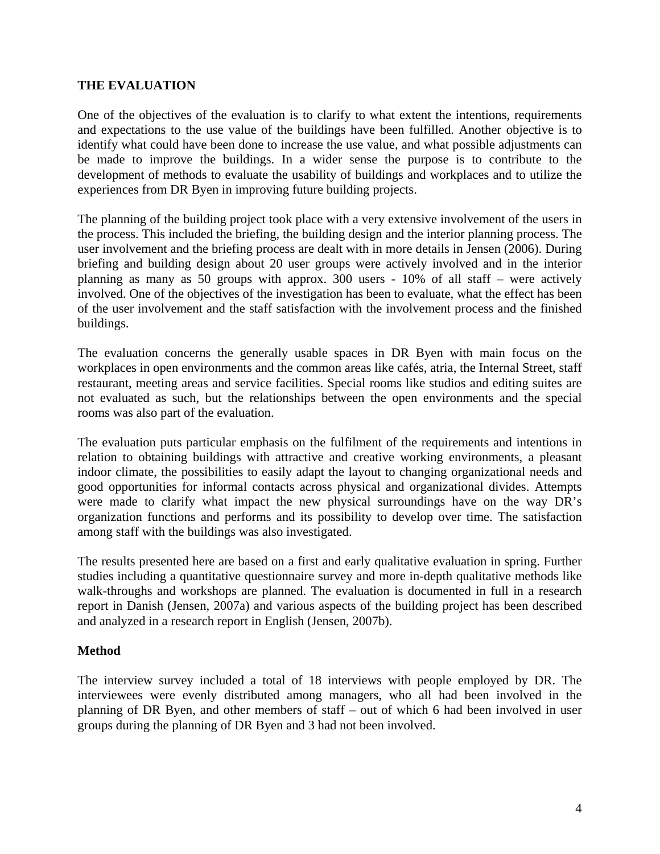### **THE EVALUATION**

One of the objectives of the evaluation is to clarify to what extent the intentions, requirements and expectations to the use value of the buildings have been fulfilled. Another objective is to identify what could have been done to increase the use value, and what possible adjustments can be made to improve the buildings. In a wider sense the purpose is to contribute to the development of methods to evaluate the usability of buildings and workplaces and to utilize the experiences from DR Byen in improving future building projects.

The planning of the building project took place with a very extensive involvement of the users in the process. This included the briefing, the building design and the interior planning process. The user involvement and the briefing process are dealt with in more details in Jensen (2006). During briefing and building design about 20 user groups were actively involved and in the interior planning as many as 50 groups with approx. 300 users - 10% of all staff – were actively involved. One of the objectives of the investigation has been to evaluate, what the effect has been of the user involvement and the staff satisfaction with the involvement process and the finished buildings.

The evaluation concerns the generally usable spaces in DR Byen with main focus on the workplaces in open environments and the common areas like cafés, atria, the Internal Street, staff restaurant, meeting areas and service facilities. Special rooms like studios and editing suites are not evaluated as such, but the relationships between the open environments and the special rooms was also part of the evaluation.

The evaluation puts particular emphasis on the fulfilment of the requirements and intentions in relation to obtaining buildings with attractive and creative working environments, a pleasant indoor climate, the possibilities to easily adapt the layout to changing organizational needs and good opportunities for informal contacts across physical and organizational divides. Attempts were made to clarify what impact the new physical surroundings have on the way DR's organization functions and performs and its possibility to develop over time. The satisfaction among staff with the buildings was also investigated.

The results presented here are based on a first and early qualitative evaluation in spring. Further studies including a quantitative questionnaire survey and more in-depth qualitative methods like walk-throughs and workshops are planned. The evaluation is documented in full in a research report in Danish (Jensen, 2007a) and various aspects of the building project has been described and analyzed in a research report in English (Jensen, 2007b).

# **Method**

The interview survey included a total of 18 interviews with people employed by DR. The interviewees were evenly distributed among managers, who all had been involved in the planning of DR Byen, and other members of staff – out of which 6 had been involved in user groups during the planning of DR Byen and 3 had not been involved.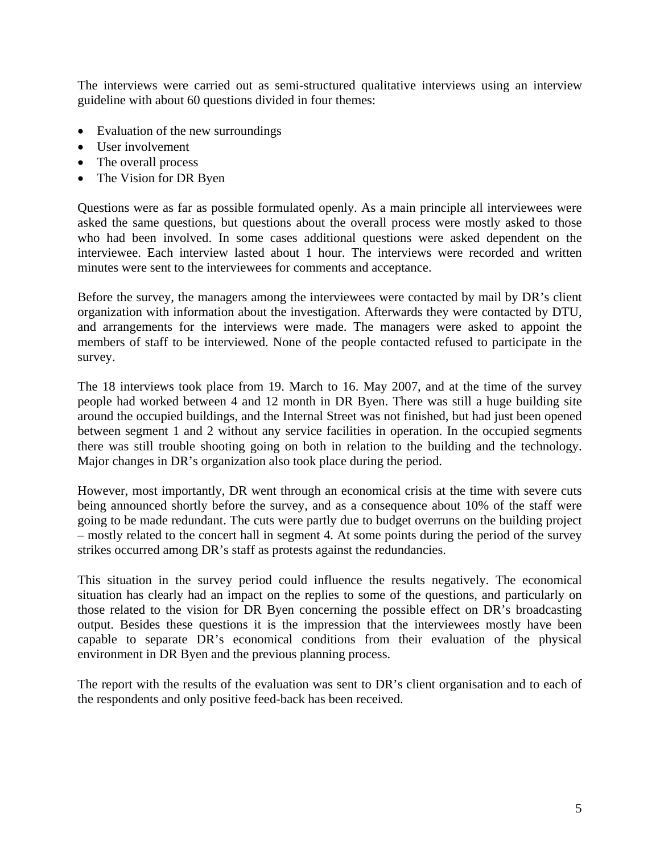The interviews were carried out as semi-structured qualitative interviews using an interview guideline with about 60 questions divided in four themes:

- Evaluation of the new surroundings
- User involvement
- The overall process
- The Vision for DR Byen

Questions were as far as possible formulated openly. As a main principle all interviewees were asked the same questions, but questions about the overall process were mostly asked to those who had been involved. In some cases additional questions were asked dependent on the interviewee. Each interview lasted about 1 hour. The interviews were recorded and written minutes were sent to the interviewees for comments and acceptance.

Before the survey, the managers among the interviewees were contacted by mail by DR's client organization with information about the investigation. Afterwards they were contacted by DTU, and arrangements for the interviews were made. The managers were asked to appoint the members of staff to be interviewed. None of the people contacted refused to participate in the survey.

The 18 interviews took place from 19. March to 16. May 2007, and at the time of the survey people had worked between 4 and 12 month in DR Byen. There was still a huge building site around the occupied buildings, and the Internal Street was not finished, but had just been opened between segment 1 and 2 without any service facilities in operation. In the occupied segments there was still trouble shooting going on both in relation to the building and the technology. Major changes in DR's organization also took place during the period.

However, most importantly, DR went through an economical crisis at the time with severe cuts being announced shortly before the survey, and as a consequence about 10% of the staff were going to be made redundant. The cuts were partly due to budget overruns on the building project – mostly related to the concert hall in segment 4. At some points during the period of the survey strikes occurred among DR's staff as protests against the redundancies.

This situation in the survey period could influence the results negatively. The economical situation has clearly had an impact on the replies to some of the questions, and particularly on those related to the vision for DR Byen concerning the possible effect on DR's broadcasting output. Besides these questions it is the impression that the interviewees mostly have been capable to separate DR's economical conditions from their evaluation of the physical environment in DR Byen and the previous planning process.

The report with the results of the evaluation was sent to DR's client organisation and to each of the respondents and only positive feed-back has been received.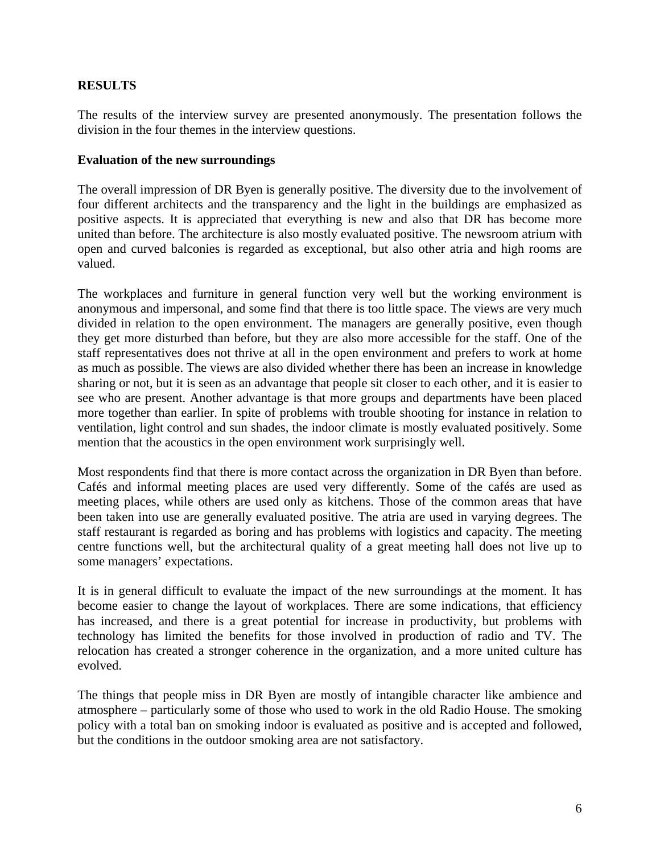# **RESULTS**

The results of the interview survey are presented anonymously. The presentation follows the division in the four themes in the interview questions.

#### **Evaluation of the new surroundings**

The overall impression of DR Byen is generally positive. The diversity due to the involvement of four different architects and the transparency and the light in the buildings are emphasized as positive aspects. It is appreciated that everything is new and also that DR has become more united than before. The architecture is also mostly evaluated positive. The newsroom atrium with open and curved balconies is regarded as exceptional, but also other atria and high rooms are valued.

The workplaces and furniture in general function very well but the working environment is anonymous and impersonal, and some find that there is too little space. The views are very much divided in relation to the open environment. The managers are generally positive, even though they get more disturbed than before, but they are also more accessible for the staff. One of the staff representatives does not thrive at all in the open environment and prefers to work at home as much as possible. The views are also divided whether there has been an increase in knowledge sharing or not, but it is seen as an advantage that people sit closer to each other, and it is easier to see who are present. Another advantage is that more groups and departments have been placed more together than earlier. In spite of problems with trouble shooting for instance in relation to ventilation, light control and sun shades, the indoor climate is mostly evaluated positively. Some mention that the acoustics in the open environment work surprisingly well.

Most respondents find that there is more contact across the organization in DR Byen than before. Cafés and informal meeting places are used very differently. Some of the cafés are used as meeting places, while others are used only as kitchens. Those of the common areas that have been taken into use are generally evaluated positive. The atria are used in varying degrees. The staff restaurant is regarded as boring and has problems with logistics and capacity. The meeting centre functions well, but the architectural quality of a great meeting hall does not live up to some managers' expectations.

It is in general difficult to evaluate the impact of the new surroundings at the moment. It has become easier to change the layout of workplaces. There are some indications, that efficiency has increased, and there is a great potential for increase in productivity, but problems with technology has limited the benefits for those involved in production of radio and TV. The relocation has created a stronger coherence in the organization, and a more united culture has evolved.

The things that people miss in DR Byen are mostly of intangible character like ambience and atmosphere – particularly some of those who used to work in the old Radio House. The smoking policy with a total ban on smoking indoor is evaluated as positive and is accepted and followed, but the conditions in the outdoor smoking area are not satisfactory.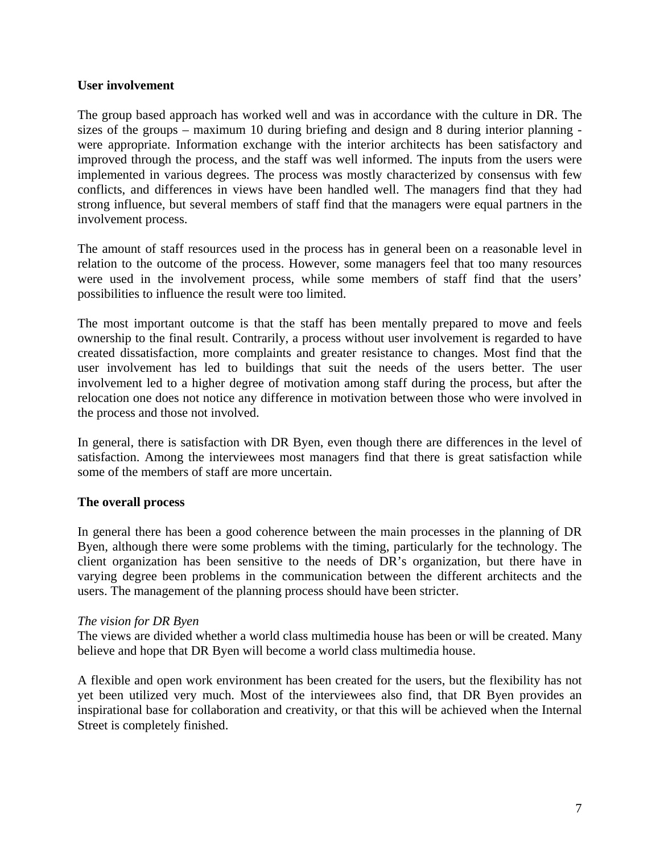#### **User involvement**

The group based approach has worked well and was in accordance with the culture in DR. The sizes of the groups – maximum 10 during briefing and design and 8 during interior planning were appropriate. Information exchange with the interior architects has been satisfactory and improved through the process, and the staff was well informed. The inputs from the users were implemented in various degrees. The process was mostly characterized by consensus with few conflicts, and differences in views have been handled well. The managers find that they had strong influence, but several members of staff find that the managers were equal partners in the involvement process.

The amount of staff resources used in the process has in general been on a reasonable level in relation to the outcome of the process. However, some managers feel that too many resources were used in the involvement process, while some members of staff find that the users' possibilities to influence the result were too limited.

The most important outcome is that the staff has been mentally prepared to move and feels ownership to the final result. Contrarily, a process without user involvement is regarded to have created dissatisfaction, more complaints and greater resistance to changes. Most find that the user involvement has led to buildings that suit the needs of the users better. The user involvement led to a higher degree of motivation among staff during the process, but after the relocation one does not notice any difference in motivation between those who were involved in the process and those not involved.

In general, there is satisfaction with DR Byen, even though there are differences in the level of satisfaction. Among the interviewees most managers find that there is great satisfaction while some of the members of staff are more uncertain.

#### **The overall process**

In general there has been a good coherence between the main processes in the planning of DR Byen, although there were some problems with the timing, particularly for the technology. The client organization has been sensitive to the needs of DR's organization, but there have in varying degree been problems in the communication between the different architects and the users. The management of the planning process should have been stricter.

#### *The vision for DR Byen*

The views are divided whether a world class multimedia house has been or will be created. Many believe and hope that DR Byen will become a world class multimedia house.

A flexible and open work environment has been created for the users, but the flexibility has not yet been utilized very much. Most of the interviewees also find, that DR Byen provides an inspirational base for collaboration and creativity, or that this will be achieved when the Internal Street is completely finished.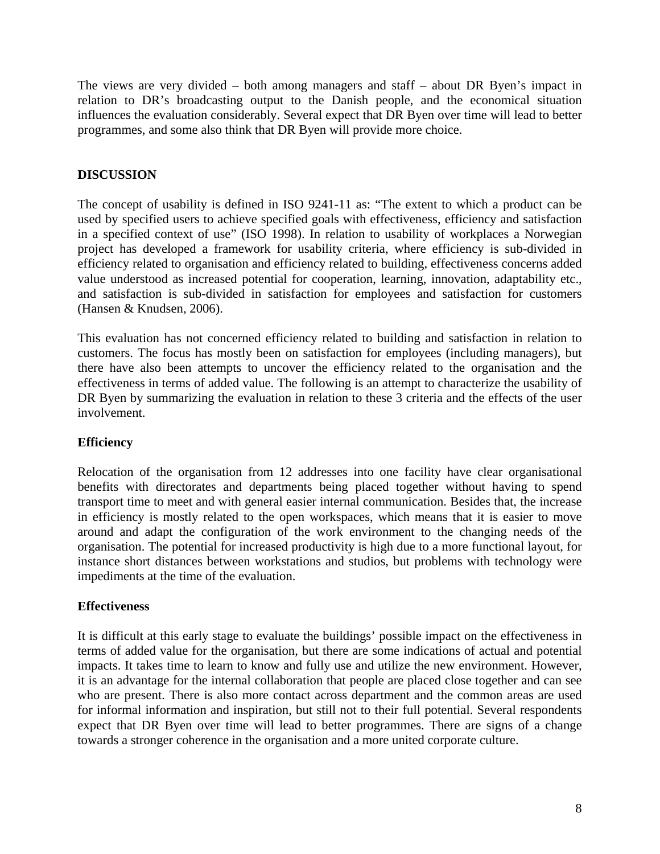The views are very divided – both among managers and staff – about DR Byen's impact in relation to DR's broadcasting output to the Danish people, and the economical situation influences the evaluation considerably. Several expect that DR Byen over time will lead to better programmes, and some also think that DR Byen will provide more choice.

# **DISCUSSION**

The concept of usability is defined in ISO 9241-11 as: "The extent to which a product can be used by specified users to achieve specified goals with effectiveness, efficiency and satisfaction in a specified context of use" (ISO 1998). In relation to usability of workplaces a Norwegian project has developed a framework for usability criteria, where efficiency is sub-divided in efficiency related to organisation and efficiency related to building, effectiveness concerns added value understood as increased potential for cooperation, learning, innovation, adaptability etc., and satisfaction is sub-divided in satisfaction for employees and satisfaction for customers (Hansen & Knudsen, 2006).

This evaluation has not concerned efficiency related to building and satisfaction in relation to customers. The focus has mostly been on satisfaction for employees (including managers), but there have also been attempts to uncover the efficiency related to the organisation and the effectiveness in terms of added value. The following is an attempt to characterize the usability of DR Byen by summarizing the evaluation in relation to these 3 criteria and the effects of the user involvement.

# **Efficiency**

Relocation of the organisation from 12 addresses into one facility have clear organisational benefits with directorates and departments being placed together without having to spend transport time to meet and with general easier internal communication. Besides that, the increase in efficiency is mostly related to the open workspaces, which means that it is easier to move around and adapt the configuration of the work environment to the changing needs of the organisation. The potential for increased productivity is high due to a more functional layout, for instance short distances between workstations and studios, but problems with technology were impediments at the time of the evaluation.

# **Effectiveness**

It is difficult at this early stage to evaluate the buildings' possible impact on the effectiveness in terms of added value for the organisation, but there are some indications of actual and potential impacts. It takes time to learn to know and fully use and utilize the new environment. However, it is an advantage for the internal collaboration that people are placed close together and can see who are present. There is also more contact across department and the common areas are used for informal information and inspiration, but still not to their full potential. Several respondents expect that DR Byen over time will lead to better programmes. There are signs of a change towards a stronger coherence in the organisation and a more united corporate culture.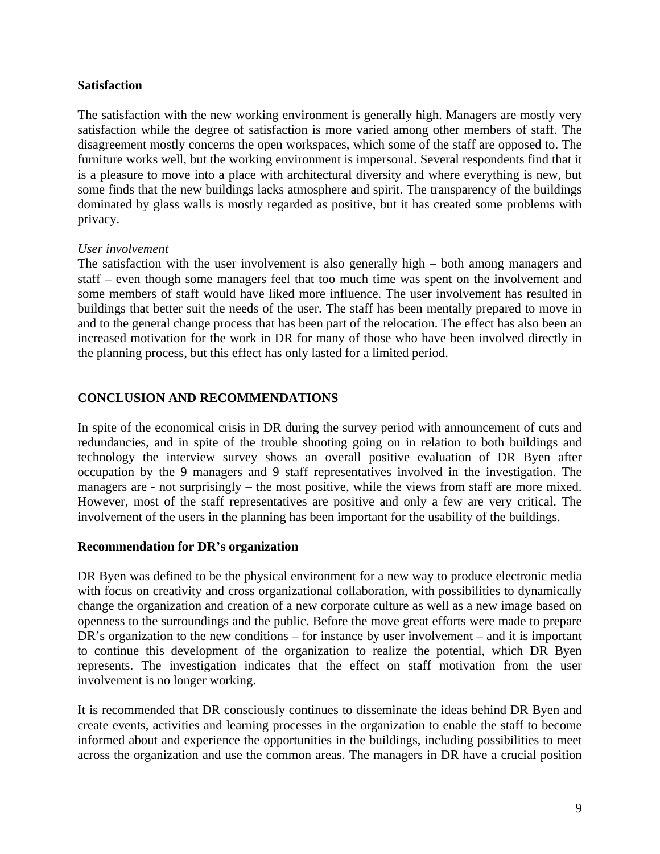#### **Satisfaction**

The satisfaction with the new working environment is generally high. Managers are mostly very satisfaction while the degree of satisfaction is more varied among other members of staff. The disagreement mostly concerns the open workspaces, which some of the staff are opposed to. The furniture works well, but the working environment is impersonal. Several respondents find that it is a pleasure to move into a place with architectural diversity and where everything is new, but some finds that the new buildings lacks atmosphere and spirit. The transparency of the buildings dominated by glass walls is mostly regarded as positive, but it has created some problems with privacy.

#### *User involvement*

The satisfaction with the user involvement is also generally high – both among managers and staff – even though some managers feel that too much time was spent on the involvement and some members of staff would have liked more influence. The user involvement has resulted in buildings that better suit the needs of the user. The staff has been mentally prepared to move in and to the general change process that has been part of the relocation. The effect has also been an increased motivation for the work in DR for many of those who have been involved directly in the planning process, but this effect has only lasted for a limited period.

### **CONCLUSION AND RECOMMENDATIONS**

In spite of the economical crisis in DR during the survey period with announcement of cuts and redundancies, and in spite of the trouble shooting going on in relation to both buildings and technology the interview survey shows an overall positive evaluation of DR Byen after occupation by the 9 managers and 9 staff representatives involved in the investigation. The managers are - not surprisingly – the most positive, while the views from staff are more mixed. However, most of the staff representatives are positive and only a few are very critical. The involvement of the users in the planning has been important for the usability of the buildings.

#### **Recommendation for DR's organization**

DR Byen was defined to be the physical environment for a new way to produce electronic media with focus on creativity and cross organizational collaboration, with possibilities to dynamically change the organization and creation of a new corporate culture as well as a new image based on openness to the surroundings and the public. Before the move great efforts were made to prepare DR's organization to the new conditions – for instance by user involvement – and it is important to continue this development of the organization to realize the potential, which DR Byen represents. The investigation indicates that the effect on staff motivation from the user involvement is no longer working.

It is recommended that DR consciously continues to disseminate the ideas behind DR Byen and create events, activities and learning processes in the organization to enable the staff to become informed about and experience the opportunities in the buildings, including possibilities to meet across the organization and use the common areas. The managers in DR have a crucial position